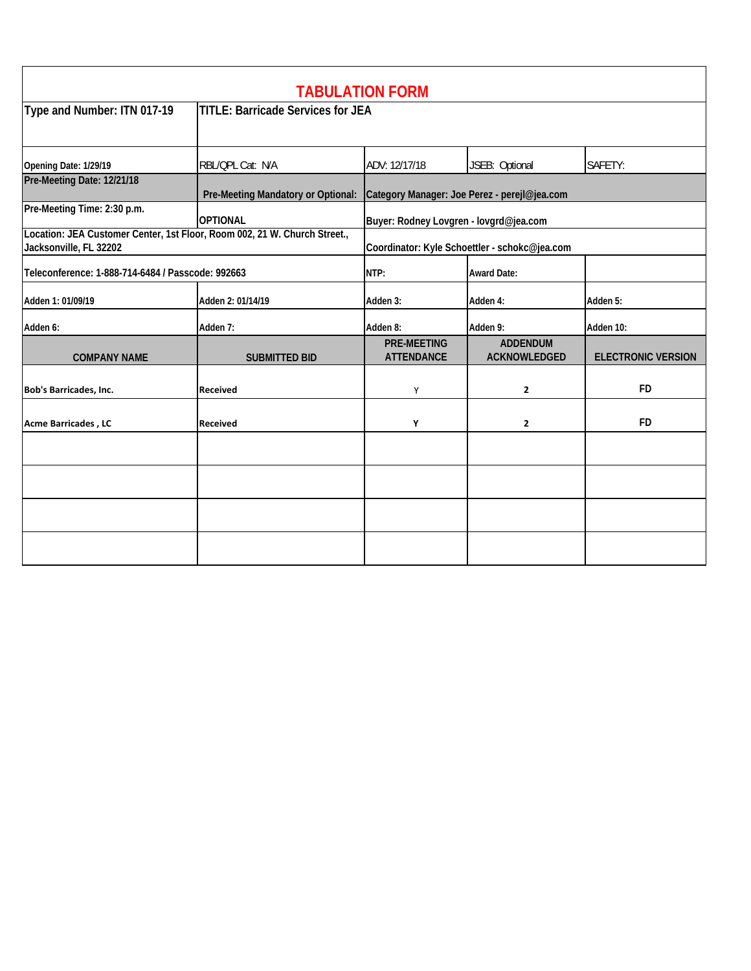|                                                   |                                                                           | <b>TABULATION FORM</b>                  |                                               |                           |  |
|---------------------------------------------------|---------------------------------------------------------------------------|-----------------------------------------|-----------------------------------------------|---------------------------|--|
| Type and Number: ITN 017-19                       | <b>TITLE: Barricade Services for JEA</b>                                  |                                         |                                               |                           |  |
| Opening Date: 1/29/19                             | RBL/QPL Cat: N/A                                                          | ADV: 12/17/18                           | JSEB: Optional                                | SAFETY:                   |  |
| Pre-Meeting Date: 12/21/18                        | Pre-Meeting Mandatory or Optional:                                        |                                         | Category Manager: Joe Perez - perejl@jea.com  |                           |  |
| Pre-Meeting Time: 2:30 p.m.                       | <b>OPTIONAL</b>                                                           | Buyer: Rodney Lovgren - lovgrd@jea.com  |                                               |                           |  |
| Jacksonville, FL 32202                            | Location: JEA Customer Center, 1st Floor, Room 002, 21 W. Church Street., |                                         | Coordinator: Kyle Schoettler - schokc@jea.com |                           |  |
| Teleconference: 1-888-714-6484 / Passcode: 992663 |                                                                           | NTP:                                    | <b>Award Date:</b>                            |                           |  |
| Adden 1: 01/09/19                                 | Adden 2: 01/14/19                                                         | Adden 3:                                | Adden 4:                                      | Adden 5:                  |  |
| Adden 6:                                          | Adden 7:                                                                  | Adden 8:                                | Adden 9:                                      | Adden 10:                 |  |
| <b>COMPANY NAME</b>                               | <b>SUBMITTED BID</b>                                                      | <b>PRE-MEETING</b><br><b>ATTENDANCE</b> | <b>ADDENDUM</b><br><b>ACKNOWLEDGED</b>        | <b>ELECTRONIC VERSION</b> |  |
| <b>Bob's Barricades, Inc.</b>                     | <b>Received</b>                                                           | Y                                       | $\overline{2}$                                | <b>FD</b>                 |  |
| <b>Acme Barricades, LC</b>                        | <b>Received</b>                                                           | Y                                       | $\overline{2}$                                | <b>FD</b>                 |  |
|                                                   |                                                                           |                                         |                                               |                           |  |
|                                                   |                                                                           |                                         |                                               |                           |  |
|                                                   |                                                                           |                                         |                                               |                           |  |
|                                                   |                                                                           |                                         |                                               |                           |  |
|                                                   |                                                                           |                                         |                                               |                           |  |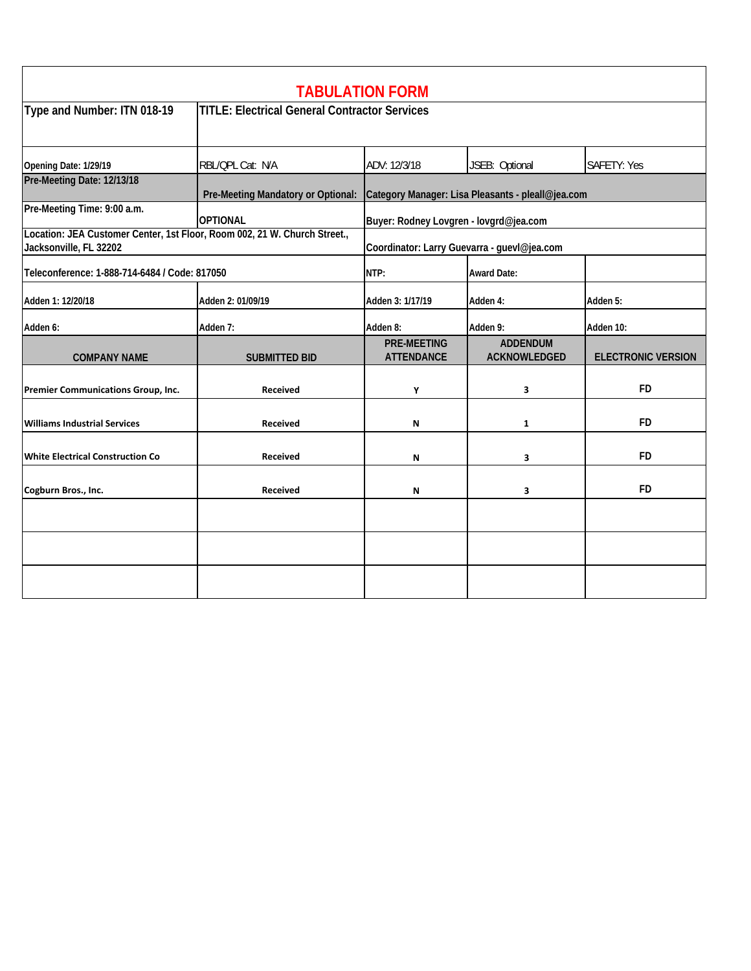|                                                                                                     |                                                      | <b>TABULATION FORM</b>                                                               |                                        |                           |  |
|-----------------------------------------------------------------------------------------------------|------------------------------------------------------|--------------------------------------------------------------------------------------|----------------------------------------|---------------------------|--|
| Type and Number: ITN 018-19                                                                         | <b>TITLE: Electrical General Contractor Services</b> |                                                                                      |                                        |                           |  |
| Opening Date: 1/29/19                                                                               | RBL/QPL Cat: N/A                                     | ADV: 12/3/18                                                                         | JSEB: Optional                         | SAFETY: Yes               |  |
| Pre-Meeting Date: 12/13/18                                                                          |                                                      | Pre-Meeting Mandatory or Optional: Category Manager: Lisa Pleasants - pleall@jea.com |                                        |                           |  |
| Pre-Meeting Time: 9:00 a.m.                                                                         | <b>OPTIONAL</b>                                      | Buyer: Rodney Lovgren - lovgrd@jea.com                                               |                                        |                           |  |
| Location: JEA Customer Center, 1st Floor, Room 002, 21 W. Church Street.,<br>Jacksonville, FL 32202 |                                                      | Coordinator: Larry Guevarra - guevl@jea.com                                          |                                        |                           |  |
| Teleconference: 1-888-714-6484 / Code: 817050                                                       |                                                      | NTP:                                                                                 | <b>Award Date:</b>                     |                           |  |
| Adden 1: 12/20/18                                                                                   | Adden 2: 01/09/19                                    | Adden 3: 1/17/19                                                                     | Adden 4:                               | Adden 5:                  |  |
| Adden 6:                                                                                            | Adden 7:                                             | Adden 8:                                                                             | Adden 9:                               | Adden 10:                 |  |
| <b>COMPANY NAME</b>                                                                                 | <b>SUBMITTED BID</b>                                 | <b>PRE-MEETING</b><br><b>ATTENDANCE</b>                                              | <b>ADDENDUM</b><br><b>ACKNOWLEDGED</b> | <b>ELECTRONIC VERSION</b> |  |
| Premier Communications Group, Inc.                                                                  | <b>Received</b>                                      | Υ                                                                                    | 3                                      | <b>FD</b>                 |  |
| <b>Williams Industrial Services</b>                                                                 | <b>Received</b>                                      | N                                                                                    | 1                                      | <b>FD</b>                 |  |
| <b>White Electrical Construction Co</b>                                                             | <b>Received</b>                                      | N                                                                                    | 3                                      | <b>FD</b>                 |  |
| Cogburn Bros., Inc.                                                                                 | <b>Received</b>                                      | N                                                                                    | 3                                      | <b>FD</b>                 |  |
|                                                                                                     |                                                      |                                                                                      |                                        |                           |  |
|                                                                                                     |                                                      |                                                                                      |                                        |                           |  |
|                                                                                                     |                                                      |                                                                                      |                                        |                           |  |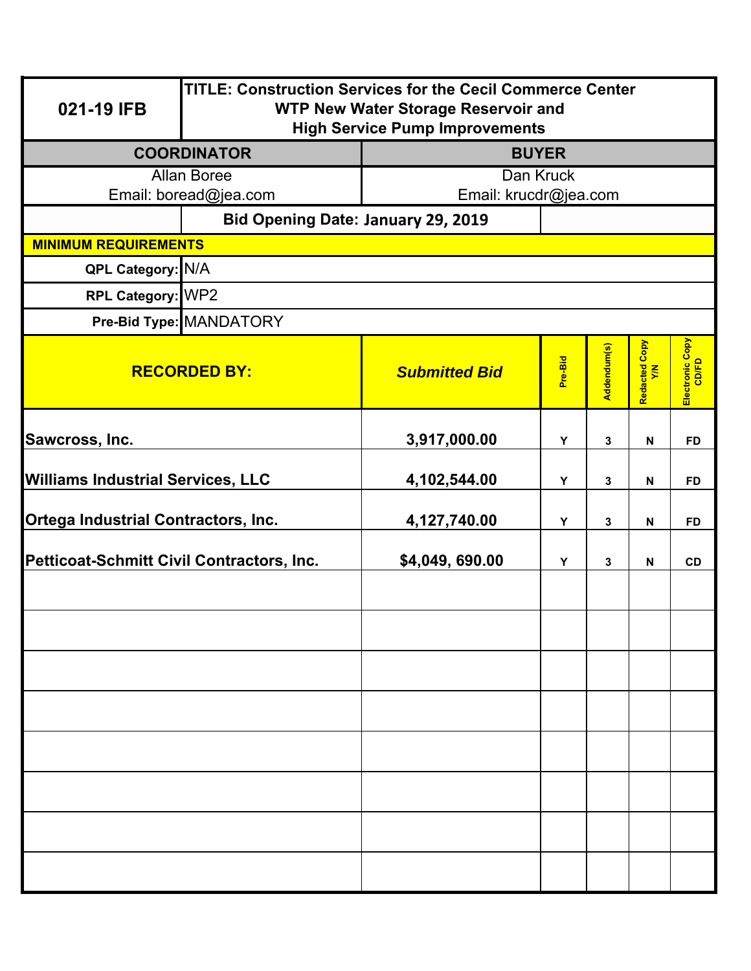| 021-19 IFB                                | <b>TITLE: Construction Services for the Cecil Commerce Center</b><br><b>WTP New Water Storage Reservoir and</b><br><b>High Service Pump Improvements</b> |                       |         |              |                           |                          |  |
|-------------------------------------------|----------------------------------------------------------------------------------------------------------------------------------------------------------|-----------------------|---------|--------------|---------------------------|--------------------------|--|
|                                           | <b>COORDINATOR</b>                                                                                                                                       | <b>BUYER</b>          |         |              |                           |                          |  |
| <b>Allan Boree</b>                        |                                                                                                                                                          | Dan Kruck             |         |              |                           |                          |  |
|                                           | Email: boread@jea.com                                                                                                                                    | Email: krucdr@jea.com |         |              |                           |                          |  |
|                                           | Bid Opening Date: January 29, 2019                                                                                                                       |                       |         |              |                           |                          |  |
| <b>MINIMUM REQUIREMENTS</b>               |                                                                                                                                                          |                       |         |              |                           |                          |  |
| <b>QPL Category: N/A</b>                  |                                                                                                                                                          |                       |         |              |                           |                          |  |
| RPL Category: WP2                         |                                                                                                                                                          |                       |         |              |                           |                          |  |
|                                           | Pre-Bid Type: MANDATORY                                                                                                                                  |                       |         |              |                           |                          |  |
| <b>RECORDED BY:</b>                       |                                                                                                                                                          | <b>Submitted Bid</b>  | Pre-Bid | Addendum(s)  | Redacted Copy<br>Y/N      | Electronic Copy<br>CD/FD |  |
| Sawcross, Inc.                            |                                                                                                                                                          | 3,917,000.00          | Y       | 3            | N                         | <b>FD</b>                |  |
| <b>Williams Industrial Services, LLC</b>  |                                                                                                                                                          | 4,102,544.00          | Y       | 3            | $\mathbf N$               | <b>FD</b>                |  |
| Ortega Industrial Contractors, Inc.       |                                                                                                                                                          | 4,127,740.00          | Y       | $\mathbf{3}$ | $\boldsymbol{\mathsf{N}}$ | <b>FD</b>                |  |
| Petticoat-Schmitt Civil Contractors, Inc. |                                                                                                                                                          | \$4,049,690.00        | Y       | $\mathbf{3}$ | $\boldsymbol{\mathsf{N}}$ | <b>CD</b>                |  |
|                                           |                                                                                                                                                          |                       |         |              |                           |                          |  |
|                                           |                                                                                                                                                          |                       |         |              |                           |                          |  |
|                                           |                                                                                                                                                          |                       |         |              |                           |                          |  |
|                                           |                                                                                                                                                          |                       |         |              |                           |                          |  |
|                                           |                                                                                                                                                          |                       |         |              |                           |                          |  |
|                                           |                                                                                                                                                          |                       |         |              |                           |                          |  |
|                                           |                                                                                                                                                          |                       |         |              |                           |                          |  |
|                                           |                                                                                                                                                          |                       |         |              |                           |                          |  |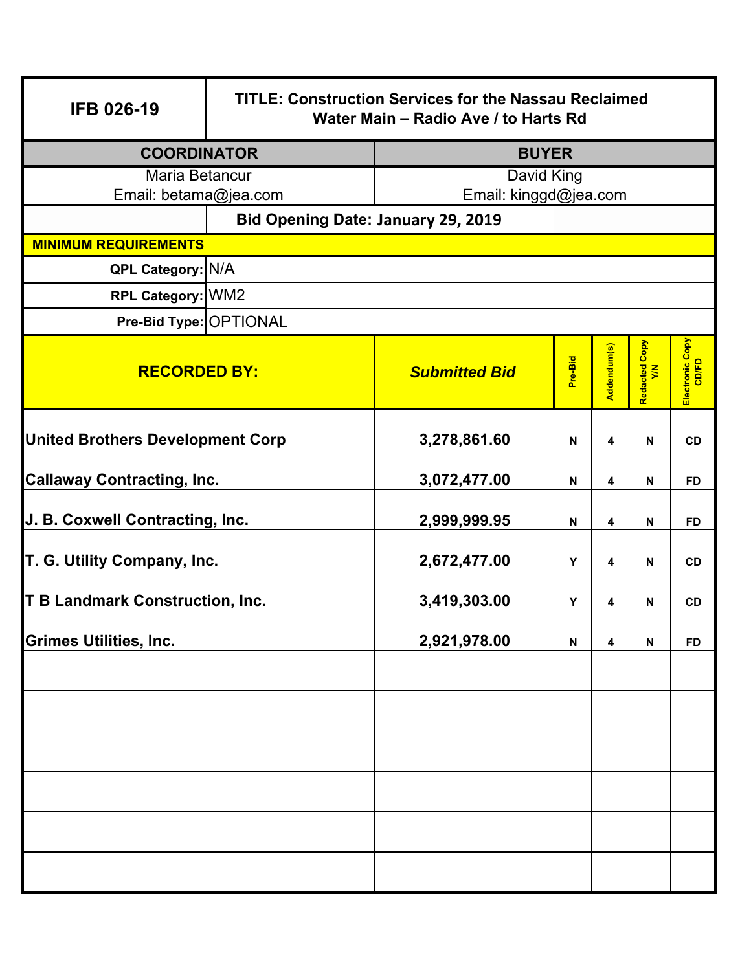| <b>IFB 026-19</b>                                | <b>TITLE: Construction Services for the Nassau Reclaimed</b><br>Water Main - Radio Ave / to Harts Rd |                       |                           |             |                           |                          |  |
|--------------------------------------------------|------------------------------------------------------------------------------------------------------|-----------------------|---------------------------|-------------|---------------------------|--------------------------|--|
|                                                  | <b>COORDINATOR</b><br><b>BUYER</b>                                                                   |                       |                           |             |                           |                          |  |
| Maria Betancur                                   |                                                                                                      | David King            |                           |             |                           |                          |  |
| Email: betama@jea.com                            |                                                                                                      | Email: kinggd@jea.com |                           |             |                           |                          |  |
|                                                  | <b>Bid Opening Date: January 29, 2019</b>                                                            |                       |                           |             |                           |                          |  |
| <b>MINIMUM REQUIREMENTS</b><br>QPL Category: N/A |                                                                                                      |                       |                           |             |                           |                          |  |
| RPL Category: WM2                                |                                                                                                      |                       |                           |             |                           |                          |  |
|                                                  |                                                                                                      |                       |                           |             |                           |                          |  |
| Pre-Bid Type: OPTIONAL                           |                                                                                                      |                       |                           |             |                           |                          |  |
| <b>RECORDED BY:</b>                              |                                                                                                      | <b>Submitted Bid</b>  | Pre-Bid                   | Addendum(s) | Redacted Copy<br>Y/N      | Electronic Copy<br>CD/FD |  |
| <b>United Brothers Development Corp</b>          |                                                                                                      | 3,278,861.60          | N                         | 4           | N                         | <b>CD</b>                |  |
| <b>Callaway Contracting, Inc.</b>                |                                                                                                      | 3,072,477.00          | $\mathsf{N}$              | 4           | $\mathsf{N}$              | <b>FD</b>                |  |
| J. B. Coxwell Contracting, Inc.                  |                                                                                                      | 2,999,999.95          | N                         | 4           | $\mathbf N$               | <b>FD</b>                |  |
| T. G. Utility Company, Inc.                      |                                                                                                      | 2,672,477.00          | Υ                         | 4           | $\boldsymbol{\mathsf{N}}$ | CD                       |  |
| <b>T B Landmark Construction, Inc.</b>           |                                                                                                      | 3,419,303.00          | Υ                         | 4           | N                         | CD                       |  |
| <b>Grimes Utilities, Inc.</b>                    |                                                                                                      | 2,921,978.00          | $\boldsymbol{\mathsf{N}}$ | 4           | $\boldsymbol{\mathsf{N}}$ | <b>FD</b>                |  |
|                                                  |                                                                                                      |                       |                           |             |                           |                          |  |
|                                                  |                                                                                                      |                       |                           |             |                           |                          |  |
|                                                  |                                                                                                      |                       |                           |             |                           |                          |  |
|                                                  |                                                                                                      |                       |                           |             |                           |                          |  |
|                                                  |                                                                                                      |                       |                           |             |                           |                          |  |
|                                                  |                                                                                                      |                       |                           |             |                           |                          |  |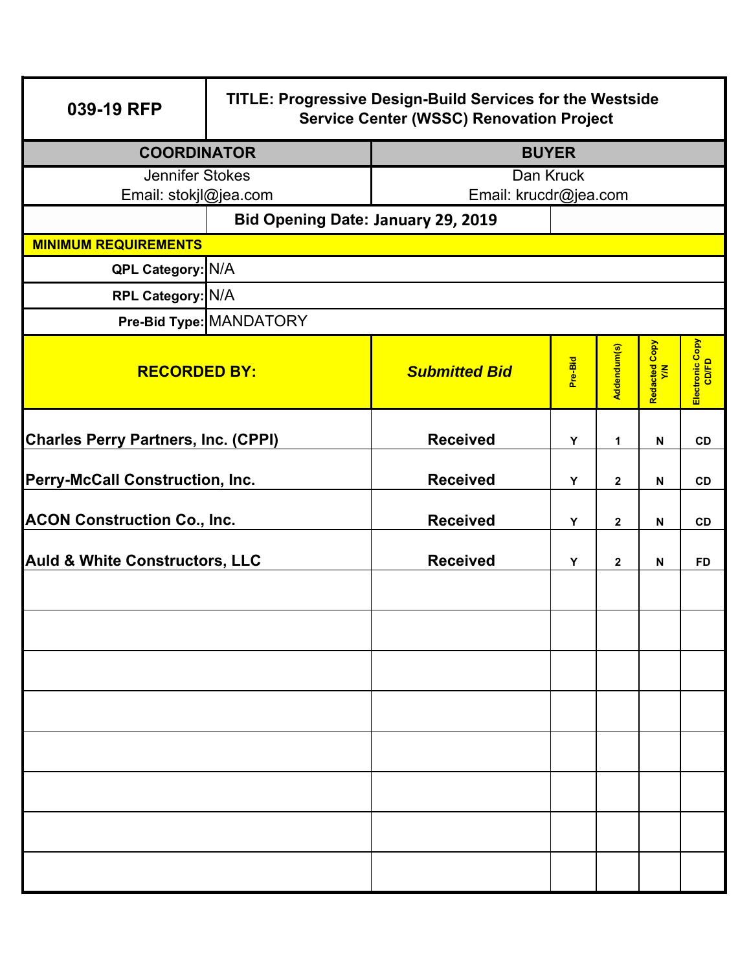| 039-19 RFP                                 | <b>TITLE: Progressive Design-Build Services for the Westside</b><br><b>Service Center (WSSC) Renovation Project</b> |                       |              |              |                           |                          |
|--------------------------------------------|---------------------------------------------------------------------------------------------------------------------|-----------------------|--------------|--------------|---------------------------|--------------------------|
| <b>COORDINATOR</b>                         |                                                                                                                     |                       | <b>BUYER</b> |              |                           |                          |
| Jennifer Stokes                            |                                                                                                                     |                       | Dan Kruck    |              |                           |                          |
| Email: stokjl@jea.com                      |                                                                                                                     | Email: krucdr@jea.com |              |              |                           |                          |
|                                            | Bid Opening Date: January 29, 2019                                                                                  |                       |              |              |                           |                          |
| <b>MINIMUM REQUIREMENTS</b>                |                                                                                                                     |                       |              |              |                           |                          |
| QPL Category: N/A                          |                                                                                                                     |                       |              |              |                           |                          |
| RPL Category: N/A                          |                                                                                                                     |                       |              |              |                           |                          |
|                                            | Pre-Bid Type: MANDATORY                                                                                             |                       |              |              |                           |                          |
| <b>RECORDED BY:</b>                        |                                                                                                                     | <b>Submitted Bid</b>  | Pre-Bid      | Addendum(s)  | Redacted Copy<br>Y/N      | Electronic Copy<br>CD/FD |
| <b>Charles Perry Partners, Inc. (CPPI)</b> |                                                                                                                     | <b>Received</b>       | Y            | 1            | N                         | CD                       |
| <b>Perry-McCall Construction, Inc.</b>     |                                                                                                                     | <b>Received</b>       | Y            | $\mathbf{2}$ | N                         | CD                       |
| <b>ACON Construction Co., Inc.</b>         |                                                                                                                     | <b>Received</b>       | Y            | $\mathbf{2}$ | N                         | <b>CD</b>                |
| <b>Auld &amp; White Constructors, LLC</b>  |                                                                                                                     | <b>Received</b>       | Y            | $\mathbf{2}$ | $\boldsymbol{\mathsf{N}}$ | <b>FD</b>                |
|                                            |                                                                                                                     |                       |              |              |                           |                          |
|                                            |                                                                                                                     |                       |              |              |                           |                          |
|                                            |                                                                                                                     |                       |              |              |                           |                          |
|                                            |                                                                                                                     |                       |              |              |                           |                          |
|                                            |                                                                                                                     |                       |              |              |                           |                          |
|                                            |                                                                                                                     |                       |              |              |                           |                          |
|                                            |                                                                                                                     |                       |              |              |                           |                          |
|                                            |                                                                                                                     |                       |              |              |                           |                          |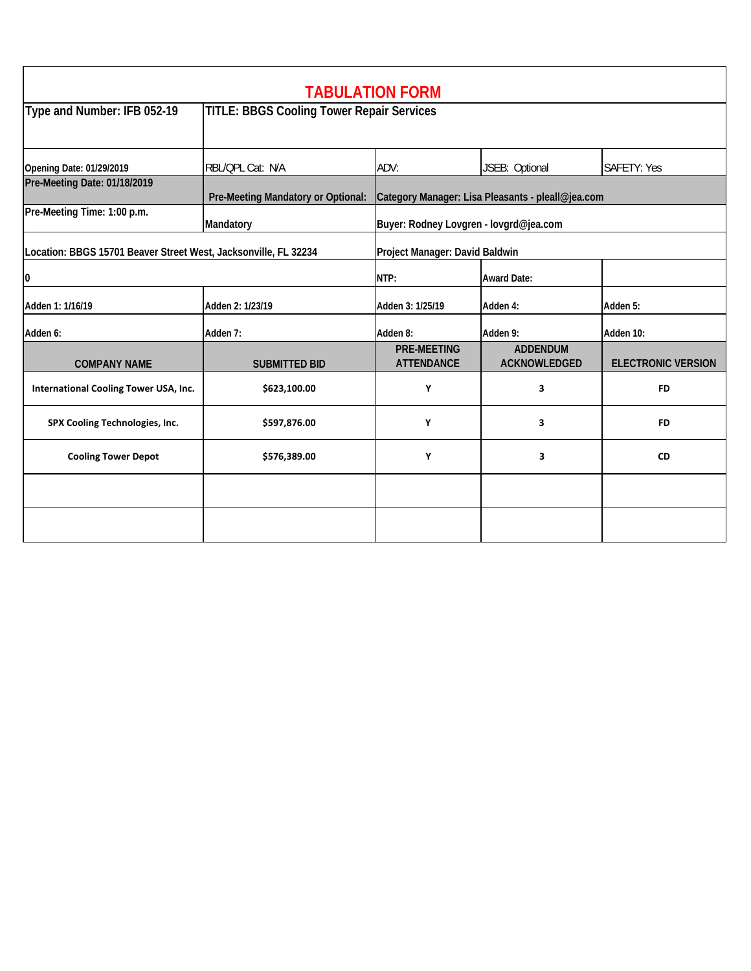|                                                                                                   |                                                  | <b>TABULATION FORM</b>                            |                                        |                           |  |
|---------------------------------------------------------------------------------------------------|--------------------------------------------------|---------------------------------------------------|----------------------------------------|---------------------------|--|
| Type and Number: IFB 052-19                                                                       | <b>TITLE: BBGS Cooling Tower Repair Services</b> |                                                   |                                        |                           |  |
| <b>Opening Date: 01/29/2019</b>                                                                   | RBL/QPL Cat: N/A                                 | ADV:                                              | JSEB: Optional                         | SAFETY: Yes               |  |
| Pre-Meeting Date: 01/18/2019                                                                      | Pre-Meeting Mandatory or Optional:               | Category Manager: Lisa Pleasants - pleall@jea.com |                                        |                           |  |
| Pre-Meeting Time: 1:00 p.m.                                                                       | Mandatory                                        | Buyer: Rodney Lovgren - lovgrd@jea.com            |                                        |                           |  |
| Location: BBGS 15701 Beaver Street West, Jacksonville, FL 32234<br>Project Manager: David Baldwin |                                                  |                                                   |                                        |                           |  |
| 0<br>NTP:<br><b>Award Date:</b>                                                                   |                                                  |                                                   |                                        |                           |  |
| Adden 1: 1/16/19                                                                                  | Adden 2: 1/23/19                                 | Adden 3: 1/25/19                                  | Adden 4:                               | Adden 5:                  |  |
| Adden 6:                                                                                          | Adden 7:                                         | Adden 8:                                          | Adden 9:                               | Adden 10:                 |  |
| <b>COMPANY NAME</b>                                                                               | <b>SUBMITTED BID</b>                             | <b>PRE-MEETING</b><br><b>ATTENDANCE</b>           | <b>ADDENDUM</b><br><b>ACKNOWLEDGED</b> | <b>ELECTRONIC VERSION</b> |  |
| International Cooling Tower USA, Inc.                                                             | \$623,100.00                                     | Υ                                                 | 3                                      | <b>FD</b>                 |  |
| SPX Cooling Technologies, Inc.                                                                    | \$597,876.00                                     | Υ                                                 | 3                                      | <b>FD</b>                 |  |
| <b>Cooling Tower Depot</b>                                                                        | \$576,389.00                                     | Υ                                                 | 3                                      | <b>CD</b>                 |  |
|                                                                                                   |                                                  |                                                   |                                        |                           |  |
|                                                                                                   |                                                  |                                                   |                                        |                           |  |